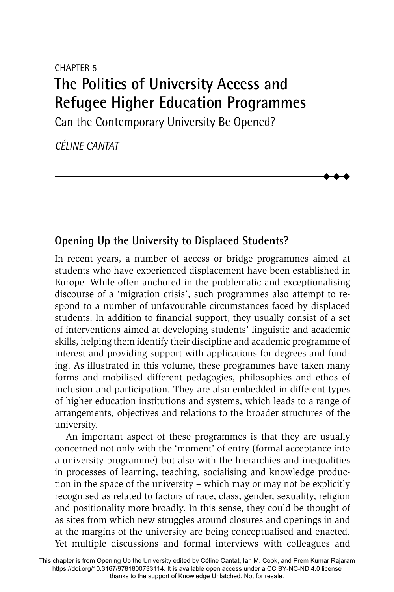# CHAPTER 5 **The Politics of University Access and Refugee Higher Education Programmes**

Can the Contemporary University Be Opened?

*CÉLINE CANTAT*

## **Opening Up the University to Displaced Students?**

In recent years, a number of access or bridge programmes aimed at students who have experienced displacement have been established in Europe. While often anchored in the problematic and exceptionalising discourse of a 'migration crisis', such programmes also attempt to respond to a number of unfavourable circumstances faced by displaced students. In addition to financial support, they usually consist of a set of interventions aimed at developing students' linguistic and academic skills, helping them identify their discipline and academic programme of interest and providing support with applications for degrees and funding. As illustrated in this volume, these programmes have taken many forms and mobilised different pedagogies, philosophies and ethos of inclusion and participation. They are also embedded in different types of higher education institutions and systems, which leads to a range of arrangements, objectives and relations to the broader structures of the university.

 $\blacklozenge$  $\blacklozenge$  $\blacklozenge$ 

An important aspect of these programmes is that they are usually concerned not only with the 'moment' of entry (formal acceptance into a university programme) but also with the hierarchies and inequalities in processes of learning, teaching, socialising and knowledge production in the space of the university – which may or may not be explicitly recognised as related to factors of race, class, gender, sexuality, religion and positionality more broadly. In this sense, they could be thought of as sites from which new struggles around closures and openings in and at the margins of the university are being conceptualised and enacted. Yet multiple discussions and formal interviews with colleagues and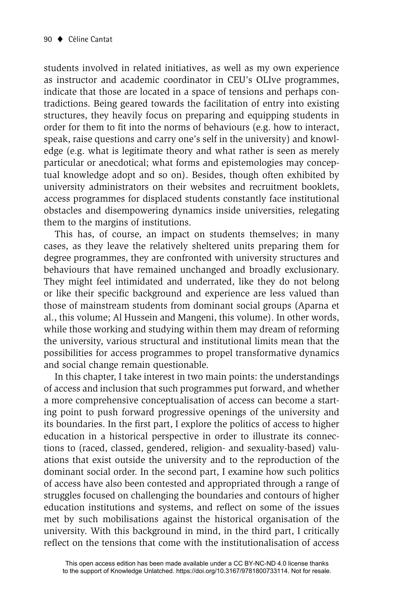students involved in related initiatives, as well as my own experience as instructor and academic coordinator in CEU's OLIve programmes, indicate that those are located in a space of tensions and perhaps contradictions. Being geared towards the facilitation of entry into existing structures, they heavily focus on preparing and equipping students in order for them to fit into the norms of behaviours (e.g. how to interact, speak, raise questions and carry one's self in the university) and knowledge (e.g. what is legitimate theory and what rather is seen as merely particular or anecdotical; what forms and epistemologies may conceptual knowledge adopt and so on). Besides, though often exhibited by university administrators on their websites and recruitment booklets, access programmes for displaced students constantly face institutional obstacles and disempowering dynamics inside universities, relegating them to the margins of institutions.

This has, of course, an impact on students themselves; in many cases, as they leave the relatively sheltered units preparing them for degree programmes, they are confronted with university structures and behaviours that have remained unchanged and broadly exclusionary. They might feel intimidated and underrated, like they do not belong or like their specific background and experience are less valued than those of mainstream students from dominant social groups (Aparna et al., this volume; Al Hussein and Mangeni, this volume). In other words, while those working and studying within them may dream of reforming the university, various structural and institutional limits mean that the possibilities for access programmes to propel transformative dynamics and social change remain questionable.

In this chapter, I take interest in two main points: the understandings of access and inclusion that such programmes put forward, and whether a more comprehensive conceptualisation of access can become a starting point to push forward progressive openings of the university and its boundaries. In the first part, I explore the politics of access to higher education in a historical perspective in order to illustrate its connections to (raced, classed, gendered, religion- and sexuality-based) valuations that exist outside the university and to the reproduction of the dominant social order. In the second part, I examine how such politics of access have also been contested and appropriated through a range of struggles focused on challenging the boundaries and contours of higher education institutions and systems, and reflect on some of the issues met by such mobilisations against the historical organisation of the university. With this background in mind, in the third part, I critically reflect on the tensions that come with the institutionalisation of access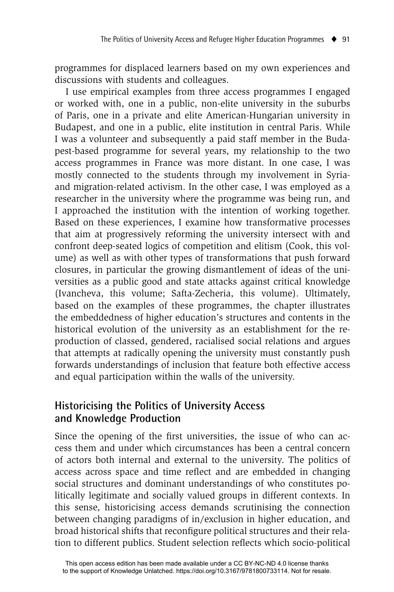programmes for displaced learners based on my own experiences and discussions with students and colleagues.

I use empirical examples from three access programmes I engaged or worked with, one in a public, non-elite university in the suburbs of Paris, one in a private and elite American-Hungarian university in Budapest, and one in a public, elite institution in central Paris. While I was a volunteer and subsequently a paid staff member in the Budapest-based programme for several years, my relationship to the two access programmes in France was more distant. In one case, I was mostly connected to the students through my involvement in Syriaand migration-related activism. In the other case, I was employed as a researcher in the university where the programme was being run, and I approached the institution with the intention of working together. Based on these experiences, I examine how transformative processes that aim at progressively reforming the university intersect with and confront deep-seated logics of competition and elitism (Cook, this volume) as well as with other types of transformations that push forward closures, in particular the growing dismantlement of ideas of the universities as a public good and state attacks against critical knowledge (Ivancheva, this volume; Safta-Zecheria, this volume). Ultimately, based on the examples of these programmes, the chapter illustrates the embeddedness of higher education's structures and contents in the historical evolution of the university as an establishment for the reproduction of classed, gendered, racialised social relations and argues that attempts at radically opening the university must constantly push forwards understandings of inclusion that feature both effective access and equal participation within the walls of the university.

#### **Historicising the Politics of University Access and Knowledge Production**

Since the opening of the first universities, the issue of who can access them and under which circumstances has been a central concern of actors both internal and external to the university. The politics of access across space and time reflect and are embedded in changing social structures and dominant understandings of who constitutes politically legitimate and socially valued groups in different contexts. In this sense, historicising access demands scrutinising the connection between changing paradigms of in/exclusion in higher education, and broad historical shifts that reconfigure political structures and their relation to different publics. Student selection reflects which socio-political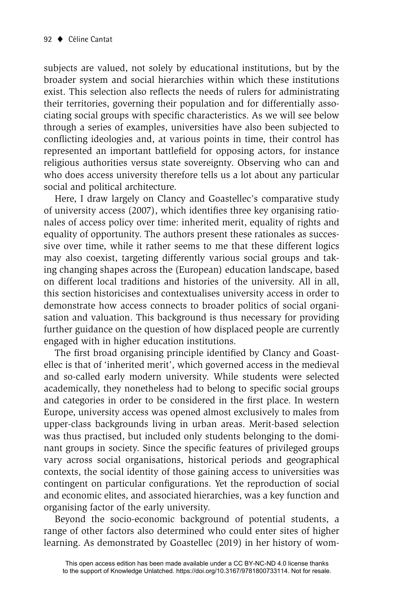subjects are valued, not solely by educational institutions, but by the broader system and social hierarchies within which these institutions exist. This selection also reflects the needs of rulers for administrating their territories, governing their population and for differentially associating social groups with specific characteristics. As we will see below through a series of examples, universities have also been subjected to conflicting ideologies and, at various points in time, their control has represented an important battlefield for opposing actors, for instance religious authorities versus state sovereignty. Observing who can and who does access university therefore tells us a lot about any particular social and political architecture.

Here, I draw largely on Clancy and Goastellec's comparative study of university access (2007), which identifies three key organising rationales of access policy over time: inherited merit, equality of rights and equality of opportunity. The authors present these rationales as successive over time, while it rather seems to me that these different logics may also coexist, targeting differently various social groups and taking changing shapes across the (European) education landscape, based on different local traditions and histories of the university. All in all, this section historicises and contextualises university access in order to demonstrate how access connects to broader politics of social organisation and valuation. This background is thus necessary for providing further guidance on the question of how displaced people are currently engaged with in higher education institutions.

The first broad organising principle identified by Clancy and Goastellec is that of 'inherited merit', which governed access in the medieval and so-called early modern university. While students were selected academically, they nonetheless had to belong to specific social groups and categories in order to be considered in the first place. In western Europe, university access was opened almost exclusively to males from upper-class backgrounds living in urban areas. Merit-based selection was thus practised, but included only students belonging to the dominant groups in society. Since the specific features of privileged groups vary across social organisations, historical periods and geographical contexts, the social identity of those gaining access to universities was contingent on particular configurations. Yet the reproduction of social and economic elites, and associated hierarchies, was a key function and organising factor of the early university.

Beyond the socio-economic background of potential students, a range of other factors also determined who could enter sites of higher learning. As demonstrated by Goastellec (2019) in her history of wom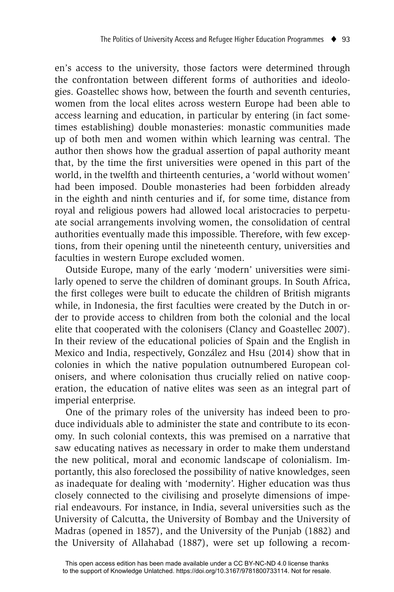en's access to the university, those factors were determined through the confrontation between different forms of authorities and ideologies. Goastellec shows how, between the fourth and seventh centuries, women from the local elites across western Europe had been able to access learning and education, in particular by entering (in fact sometimes establishing) double monasteries: monastic communities made up of both men and women within which learning was central. The author then shows how the gradual assertion of papal authority meant that, by the time the first universities were opened in this part of the world, in the twelfth and thirteenth centuries, a 'world without women' had been imposed. Double monasteries had been forbidden already in the eighth and ninth centuries and if, for some time, distance from royal and religious powers had allowed local aristocracies to perpetuate social arrangements involving women, the consolidation of central authorities eventually made this impossible. Therefore, with few exceptions, from their opening until the nineteenth century, universities and faculties in western Europe excluded women.

Outside Europe, many of the early 'modern' universities were similarly opened to serve the children of dominant groups. In South Africa, the first colleges were built to educate the children of British migrants while, in Indonesia, the first faculties were created by the Dutch in order to provide access to children from both the colonial and the local elite that cooperated with the colonisers (Clancy and Goastellec 2007). In their review of the educational policies of Spain and the English in Mexico and India, respectively, González and Hsu (2014) show that in colonies in which the native population outnumbered European colonisers, and where colonisation thus crucially relied on native cooperation, the education of native elites was seen as an integral part of imperial enterprise.

One of the primary roles of the university has indeed been to produce individuals able to administer the state and contribute to its economy. In such colonial contexts, this was premised on a narrative that saw educating natives as necessary in order to make them understand the new political, moral and economic landscape of colonialism. Importantly, this also foreclosed the possibility of native knowledges, seen as inadequate for dealing with 'modernity'. Higher education was thus closely connected to the civilising and proselyte dimensions of imperial endeavours. For instance, in India, several universities such as the University of Calcutta, the University of Bombay and the University of Madras (opened in 1857), and the University of the Punjab (1882) and the University of Allahabad (1887), were set up following a recom-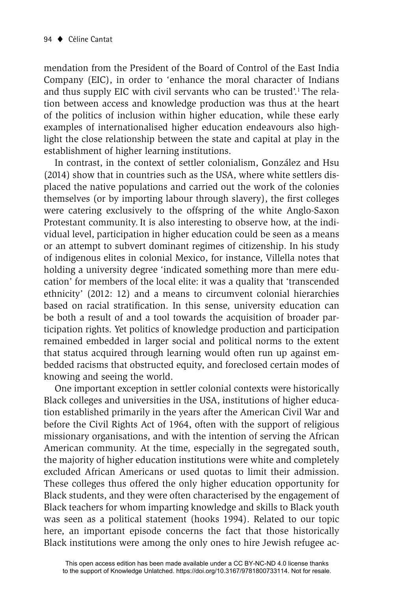mendation from the President of the Board of Control of the East India Company (EIC), in order to 'enhance the moral character of Indians and thus supply EIC with civil servants who can be trusted'.1 The relation between access and knowledge production was thus at the heart of the politics of inclusion within higher education, while these early examples of internationalised higher education endeavours also highlight the close relationship between the state and capital at play in the establishment of higher learning institutions.

In contrast, in the context of settler colonialism, González and Hsu (2014) show that in countries such as the USA, where white settlers displaced the native populations and carried out the work of the colonies themselves (or by importing labour through slavery), the first colleges were catering exclusively to the offspring of the white Anglo-Saxon Protestant community. It is also interesting to observe how, at the individual level, participation in higher education could be seen as a means or an attempt to subvert dominant regimes of citizenship. In his study of indigenous elites in colonial Mexico, for instance, Villella notes that holding a university degree 'indicated something more than mere education' for members of the local elite: it was a quality that 'transcended ethnicity' (2012: 12) and a means to circumvent colonial hierarchies based on racial stratification. In this sense, university education can be both a result of and a tool towards the acquisition of broader participation rights. Yet politics of knowledge production and participation remained embedded in larger social and political norms to the extent that status acquired through learning would often run up against embedded racisms that obstructed equity, and foreclosed certain modes of knowing and seeing the world.

One important exception in settler colonial contexts were historically Black colleges and universities in the USA, institutions of higher education established primarily in the years after the American Civil War and before the Civil Rights Act of 1964, often with the support of religious missionary organisations, and with the intention of serving the African American community. At the time, especially in the segregated south, the majority of higher education institutions were white and completely excluded African Americans or used quotas to limit their admission. These colleges thus offered the only higher education opportunity for Black students, and they were often characterised by the engagement of Black teachers for whom imparting knowledge and skills to Black youth was seen as a political statement (hooks 1994). Related to our topic here, an important episode concerns the fact that those historically Black institutions were among the only ones to hire Jewish refugee ac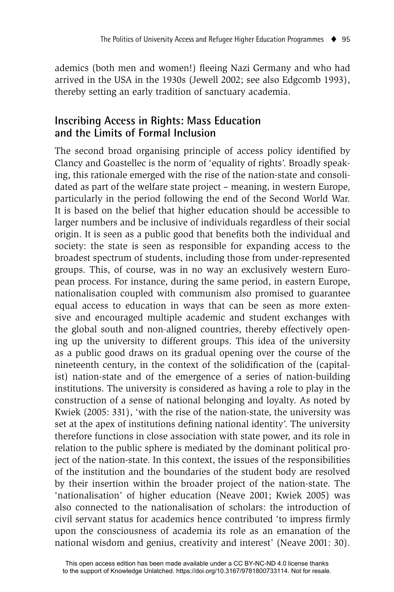ademics (both men and women!) fleeing Nazi Germany and who had arrived in the USA in the 1930s (Jewell 2002; see also Edgcomb 1993), thereby setting an early tradition of sanctuary academia.

### **Inscribing Access in Rights: Mass Education and the Limits of Formal Inclusion**

The second broad organising principle of access policy identified by Clancy and Goastellec is the norm of 'equality of rights'. Broadly speaking, this rationale emerged with the rise of the nation-state and consolidated as part of the welfare state project – meaning, in western Europe, particularly in the period following the end of the Second World War. It is based on the belief that higher education should be accessible to larger numbers and be inclusive of individuals regardless of their social origin. It is seen as a public good that benefits both the individual and society: the state is seen as responsible for expanding access to the broadest spectrum of students, including those from under-represented groups. This, of course, was in no way an exclusively western European process. For instance, during the same period, in eastern Europe, nationalisation coupled with communism also promised to guarantee equal access to education in ways that can be seen as more extensive and encouraged multiple academic and student exchanges with the global south and non-aligned countries, thereby effectively opening up the university to different groups. This idea of the university as a public good draws on its gradual opening over the course of the nineteenth century, in the context of the solidification of the (capitalist) nation-state and of the emergence of a series of nation-building institutions. The university is considered as having a role to play in the construction of a sense of national belonging and loyalty. As noted by Kwiek (2005: 331), 'with the rise of the nation-state, the university was set at the apex of institutions defining national identity'. The university therefore functions in close association with state power, and its role in relation to the public sphere is mediated by the dominant political project of the nation-state. In this context, the issues of the responsibilities of the institution and the boundaries of the student body are resolved by their insertion within the broader project of the nation-state. The 'nationalisation' of higher education (Neave 2001; Kwiek 2005) was also connected to the nationalisation of scholars: the introduction of civil servant status for academics hence contributed 'to impress firmly upon the consciousness of academia its role as an emanation of the national wisdom and genius, creativity and interest' (Neave 2001: 30).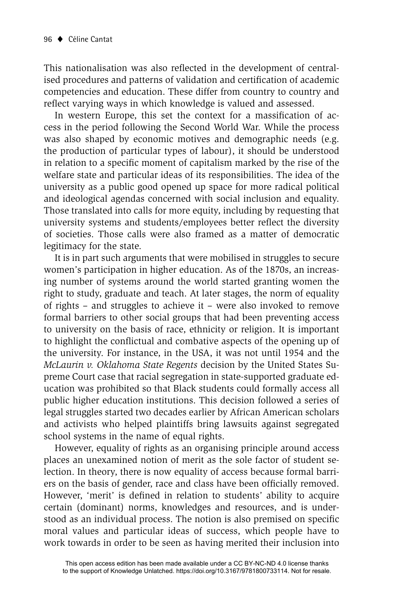This nationalisation was also reflected in the development of centralised procedures and patterns of validation and certification of academic competencies and education. These differ from country to country and reflect varying ways in which knowledge is valued and assessed.

In western Europe, this set the context for a massification of access in the period following the Second World War. While the process was also shaped by economic motives and demographic needs (e.g. the production of particular types of labour), it should be understood in relation to a specific moment of capitalism marked by the rise of the welfare state and particular ideas of its responsibilities. The idea of the university as a public good opened up space for more radical political and ideological agendas concerned with social inclusion and equality. Those translated into calls for more equity, including by requesting that university systems and students/employees better reflect the diversity of societies. Those calls were also framed as a matter of democratic legitimacy for the state.

It is in part such arguments that were mobilised in struggles to secure women's participation in higher education. As of the 1870s, an increasing number of systems around the world started granting women the right to study, graduate and teach. At later stages, the norm of equality of rights – and struggles to achieve it – were also invoked to remove formal barriers to other social groups that had been preventing access to university on the basis of race, ethnicity or religion. It is important to highlight the conflictual and combative aspects of the opening up of the university. For instance, in the USA, it was not until 1954 and the *McLaurin v. Oklahoma State Regents* decision by the United States Supreme Court case that racial segregation in state-supported graduate education was prohibited so that Black students could formally access all public higher education institutions. This decision followed a series of legal struggles started two decades earlier by African American scholars and activists who helped plaintiffs bring lawsuits against segregated school systems in the name of equal rights.

However, equality of rights as an organising principle around access places an unexamined notion of merit as the sole factor of student selection. In theory, there is now equality of access because formal barriers on the basis of gender, race and class have been officially removed. However, 'merit' is defined in relation to students' ability to acquire certain (dominant) norms, knowledges and resources, and is understood as an individual process. The notion is also premised on specific moral values and particular ideas of success, which people have to work towards in order to be seen as having merited their inclusion into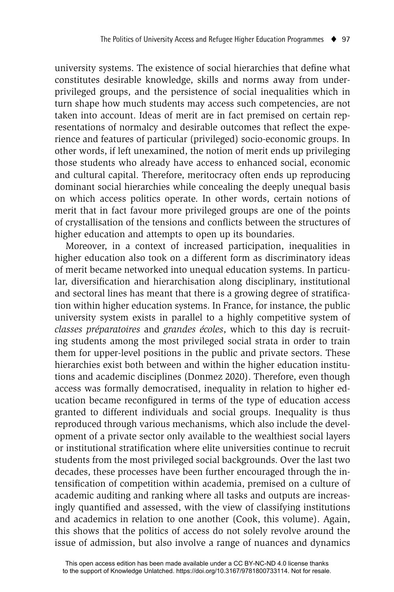university systems. The existence of social hierarchies that define what constitutes desirable knowledge, skills and norms away from underprivileged groups, and the persistence of social inequalities which in turn shape how much students may access such competencies, are not taken into account. Ideas of merit are in fact premised on certain representations of normalcy and desirable outcomes that reflect the experience and features of particular (privileged) socio-economic groups. In other words, if left unexamined, the notion of merit ends up privileging those students who already have access to enhanced social, economic and cultural capital. Therefore, meritocracy often ends up reproducing dominant social hierarchies while concealing the deeply unequal basis on which access politics operate. In other words, certain notions of merit that in fact favour more privileged groups are one of the points of crystallisation of the tensions and conflicts between the structures of higher education and attempts to open up its boundaries.

Moreover, in a context of increased participation, inequalities in higher education also took on a different form as discriminatory ideas of merit became networked into unequal education systems. In particular, diversification and hierarchisation along disciplinary, institutional and sectoral lines has meant that there is a growing degree of stratification within higher education systems. In France, for instance, the public university system exists in parallel to a highly competitive system of *classes préparatoires* and *grandes écoles*, which to this day is recruiting students among the most privileged social strata in order to train them for upper-level positions in the public and private sectors. These hierarchies exist both between and within the higher education institutions and academic disciplines (Donmez 2020). Therefore, even though access was formally democratised, inequality in relation to higher education became reconfigured in terms of the type of education access granted to different individuals and social groups. Inequality is thus reproduced through various mechanisms, which also include the development of a private sector only available to the wealthiest social layers or institutional stratification where elite universities continue to recruit students from the most privileged social backgrounds. Over the last two decades, these processes have been further encouraged through the intensification of competition within academia, premised on a culture of academic auditing and ranking where all tasks and outputs are increasingly quantified and assessed, with the view of classifying institutions and academics in relation to one another (Cook, this volume). Again, this shows that the politics of access do not solely revolve around the issue of admission, but also involve a range of nuances and dynamics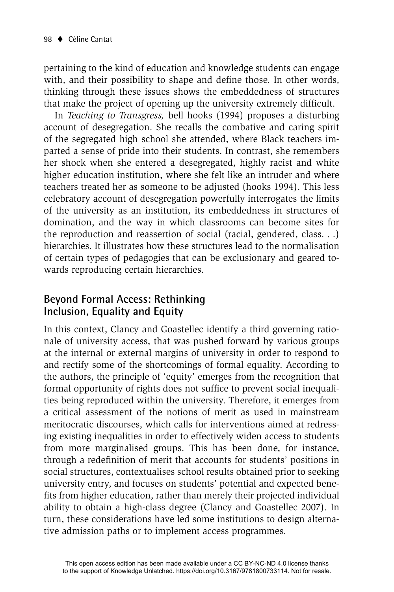pertaining to the kind of education and knowledge students can engage with, and their possibility to shape and define those. In other words, thinking through these issues shows the embeddedness of structures that make the project of opening up the university extremely difficult.

In *Teaching to Transgress,* bell hooks (1994) proposes a disturbing account of desegregation. She recalls the combative and caring spirit of the segregated high school she attended, where Black teachers imparted a sense of pride into their students. In contrast, she remembers her shock when she entered a desegregated, highly racist and white higher education institution, where she felt like an intruder and where teachers treated her as someone to be adjusted (hooks 1994). This less celebratory account of desegregation powerfully interrogates the limits of the university as an institution, its embeddedness in structures of domination, and the way in which classrooms can become sites for the reproduction and reassertion of social (racial, gendered, class. . .) hierarchies. It illustrates how these structures lead to the normalisation of certain types of pedagogies that can be exclusionary and geared towards reproducing certain hierarchies.

#### **Beyond Formal Access: Rethinking Inclusion, Equality and Equity**

In this context, Clancy and Goastellec identify a third governing rationale of university access, that was pushed forward by various groups at the internal or external margins of university in order to respond to and rectify some of the shortcomings of formal equality. According to the authors, the principle of 'equity' emerges from the recognition that formal opportunity of rights does not suffice to prevent social inequalities being reproduced within the university. Therefore, it emerges from a critical assessment of the notions of merit as used in mainstream meritocratic discourses, which calls for interventions aimed at redressing existing inequalities in order to effectively widen access to students from more marginalised groups. This has been done, for instance, through a redefinition of merit that accounts for students' positions in social structures, contextualises school results obtained prior to seeking university entry, and focuses on students' potential and expected benefits from higher education, rather than merely their projected individual ability to obtain a high-class degree (Clancy and Goastellec 2007). In turn, these considerations have led some institutions to design alternative admission paths or to implement access programmes.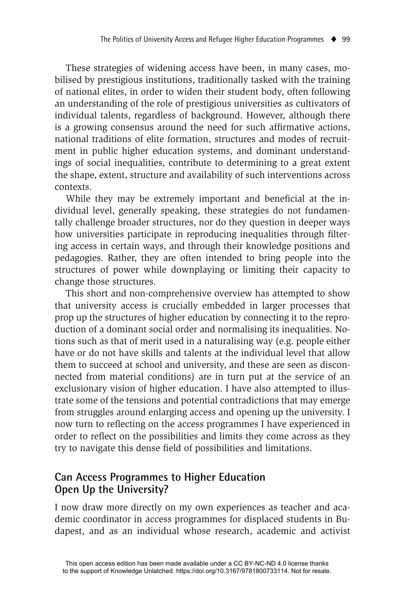These strategies of widening access have been, in many cases, mobilised by prestigious institutions, traditionally tasked with the training of national elites, in order to widen their student body, often following an understanding of the role of prestigious universities as cultivators of individual talents, regardless of background. However, although there is a growing consensus around the need for such affirmative actions, national traditions of elite formation, structures and modes of recruitment in public higher education systems, and dominant understandings of social inequalities, contribute to determining to a great extent the shape, extent, structure and availability of such interventions across contexts.

While they may be extremely important and beneficial at the individual level, generally speaking, these strategies do not fundamentally challenge broader structures, nor do they question in deeper ways how universities participate in reproducing inequalities through filtering access in certain ways, and through their knowledge positions and pedagogies. Rather, they are often intended to bring people into the structures of power while downplaying or limiting their capacity to change those structures.

This short and non-comprehensive overview has attempted to show that university access is crucially embedded in larger processes that prop up the structures of higher education by connecting it to the reproduction of a dominant social order and normalising its inequalities. Notions such as that of merit used in a naturalising way (e.g. people either have or do not have skills and talents at the individual level that allow them to succeed at school and university, and these are seen as disconnected from material conditions) are in turn put at the service of an exclusionary vision of higher education. I have also attempted to illustrate some of the tensions and potential contradictions that may emerge from struggles around enlarging access and opening up the university. I now turn to reflecting on the access programmes I have experienced in order to reflect on the possibilities and limits they come across as they try to navigate this dense field of possibilities and limitations.

### **Can Access Programmes to Higher Education Open Up the University?**

I now draw more directly on my own experiences as teacher and academic coordinator in access programmes for displaced students in Budapest, and as an individual whose research, academic and activist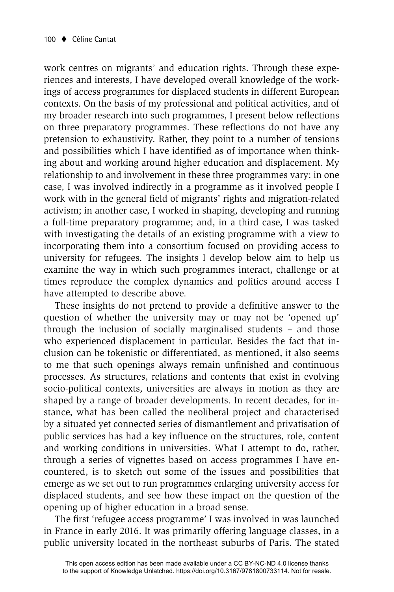work centres on migrants' and education rights. Through these experiences and interests, I have developed overall knowledge of the workings of access programmes for displaced students in different European contexts. On the basis of my professional and political activities, and of my broader research into such programmes, I present below reflections on three preparatory programmes. These reflections do not have any pretension to exhaustivity. Rather, they point to a number of tensions and possibilities which I have identified as of importance when thinking about and working around higher education and displacement. My relationship to and involvement in these three programmes vary: in one case, I was involved indirectly in a programme as it involved people I work with in the general field of migrants' rights and migration-related activism; in another case, I worked in shaping, developing and running a full-time preparatory programme; and, in a third case, I was tasked with investigating the details of an existing programme with a view to incorporating them into a consortium focused on providing access to university for refugees. The insights I develop below aim to help us examine the way in which such programmes interact, challenge or at times reproduce the complex dynamics and politics around access I have attempted to describe above.

These insights do not pretend to provide a definitive answer to the question of whether the university may or may not be 'opened up' through the inclusion of socially marginalised students – and those who experienced displacement in particular. Besides the fact that inclusion can be tokenistic or differentiated, as mentioned, it also seems to me that such openings always remain unfinished and continuous processes. As structures, relations and contents that exist in evolving socio-political contexts, universities are always in motion as they are shaped by a range of broader developments. In recent decades, for instance, what has been called the neoliberal project and characterised by a situated yet connected series of dismantlement and privatisation of public services has had a key influence on the structures, role, content and working conditions in universities. What I attempt to do, rather, through a series of vignettes based on access programmes I have encountered, is to sketch out some of the issues and possibilities that emerge as we set out to run programmes enlarging university access for displaced students, and see how these impact on the question of the opening up of higher education in a broad sense.

The first 'refugee access programme' I was involved in was launched in France in early 2016. It was primarily offering language classes, in a public university located in the northeast suburbs of Paris. The stated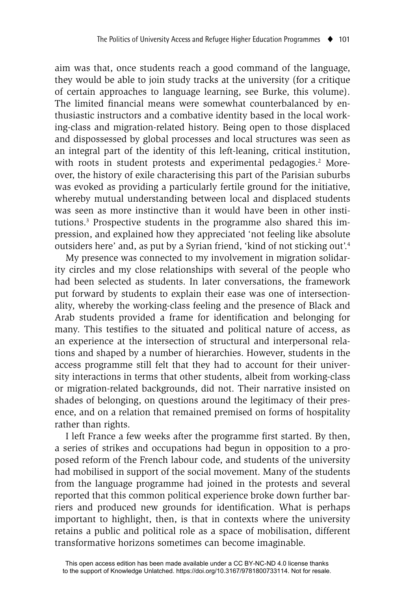aim was that, once students reach a good command of the language, they would be able to join study tracks at the university (for a critique of certain approaches to language learning, see Burke, this volume). The limited financial means were somewhat counterbalanced by enthusiastic instructors and a combative identity based in the local working-class and migration-related history. Being open to those displaced and dispossessed by global processes and local structures was seen as an integral part of the identity of this left-leaning, critical institution, with roots in student protests and experimental pedagogies.<sup>2</sup> Moreover, the history of exile characterising this part of the Parisian suburbs was evoked as providing a particularly fertile ground for the initiative, whereby mutual understanding between local and displaced students was seen as more instinctive than it would have been in other institutions.3 Prospective students in the programme also shared this impression, and explained how they appreciated 'not feeling like absolute outsiders here' and, as put by a Syrian friend, 'kind of not sticking out'.4

My presence was connected to my involvement in migration solidarity circles and my close relationships with several of the people who had been selected as students. In later conversations, the framework put forward by students to explain their ease was one of intersectionality, whereby the working-class feeling and the presence of Black and Arab students provided a frame for identification and belonging for many. This testifies to the situated and political nature of access, as an experience at the intersection of structural and interpersonal relations and shaped by a number of hierarchies. However, students in the access programme still felt that they had to account for their university interactions in terms that other students, albeit from working-class or migration-related backgrounds, did not. Their narrative insisted on shades of belonging, on questions around the legitimacy of their presence, and on a relation that remained premised on forms of hospitality rather than rights.

I left France a few weeks after the programme first started. By then, a series of strikes and occupations had begun in opposition to a proposed reform of the French labour code, and students of the university had mobilised in support of the social movement. Many of the students from the language programme had joined in the protests and several reported that this common political experience broke down further barriers and produced new grounds for identification. What is perhaps important to highlight, then, is that in contexts where the university retains a public and political role as a space of mobilisation, different transformative horizons sometimes can become imaginable.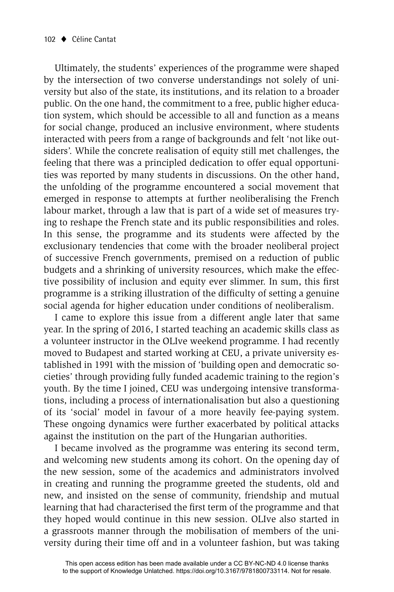Ultimately, the students' experiences of the programme were shaped by the intersection of two converse understandings not solely of university but also of the state, its institutions, and its relation to a broader public. On the one hand, the commitment to a free, public higher education system, which should be accessible to all and function as a means for social change, produced an inclusive environment, where students interacted with peers from a range of backgrounds and felt 'not like outsiders'. While the concrete realisation of equity still met challenges, the feeling that there was a principled dedication to offer equal opportunities was reported by many students in discussions. On the other hand, the unfolding of the programme encountered a social movement that emerged in response to attempts at further neoliberalising the French labour market, through a law that is part of a wide set of measures trying to reshape the French state and its public responsibilities and roles. In this sense, the programme and its students were affected by the exclusionary tendencies that come with the broader neoliberal project of successive French governments, premised on a reduction of public budgets and a shrinking of university resources, which make the effective possibility of inclusion and equity ever slimmer. In sum, this first programme is a striking illustration of the difficulty of setting a genuine social agenda for higher education under conditions of neoliberalism.

I came to explore this issue from a different angle later that same year. In the spring of 2016, I started teaching an academic skills class as a volunteer instructor in the OLIve weekend programme. I had recently moved to Budapest and started working at CEU, a private university established in 1991 with the mission of 'building open and democratic societies' through providing fully funded academic training to the region's youth. By the time I joined, CEU was undergoing intensive transformations, including a process of internationalisation but also a questioning of its 'social' model in favour of a more heavily fee-paying system. These ongoing dynamics were further exacerbated by political attacks against the institution on the part of the Hungarian authorities.

I became involved as the programme was entering its second term, and welcoming new students among its cohort. On the opening day of the new session, some of the academics and administrators involved in creating and running the programme greeted the students, old and new, and insisted on the sense of community, friendship and mutual learning that had characterised the first term of the programme and that they hoped would continue in this new session. OLIve also started in a grassroots manner through the mobilisation of members of the university during their time off and in a volunteer fashion, but was taking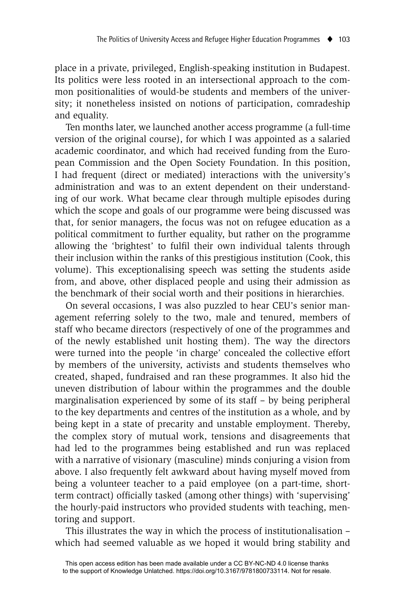place in a private, privileged, English-speaking institution in Budapest. Its politics were less rooted in an intersectional approach to the common positionalities of would-be students and members of the university; it nonetheless insisted on notions of participation, comradeship and equality.

Ten months later, we launched another access programme (a full-time version of the original course), for which I was appointed as a salaried academic coordinator, and which had received funding from the European Commission and the Open Society Foundation. In this position, I had frequent (direct or mediated) interactions with the university's administration and was to an extent dependent on their understanding of our work. What became clear through multiple episodes during which the scope and goals of our programme were being discussed was that, for senior managers, the focus was not on refugee education as a political commitment to further equality, but rather on the programme allowing the 'brightest' to fulfil their own individual talents through their inclusion within the ranks of this prestigious institution (Cook, this volume). This exceptionalising speech was setting the students aside from, and above, other displaced people and using their admission as the benchmark of their social worth and their positions in hierarchies.

On several occasions, I was also puzzled to hear CEU's senior management referring solely to the two, male and tenured, members of staff who became directors (respectively of one of the programmes and of the newly established unit hosting them). The way the directors were turned into the people 'in charge' concealed the collective effort by members of the university, activists and students themselves who created, shaped, fundraised and ran these programmes. It also hid the uneven distribution of labour within the programmes and the double marginalisation experienced by some of its staff – by being peripheral to the key departments and centres of the institution as a whole, and by being kept in a state of precarity and unstable employment. Thereby, the complex story of mutual work, tensions and disagreements that had led to the programmes being established and run was replaced with a narrative of visionary (masculine) minds conjuring a vision from above. I also frequently felt awkward about having myself moved from being a volunteer teacher to a paid employee (on a part-time, shortterm contract) officially tasked (among other things) with 'supervising' the hourly-paid instructors who provided students with teaching, mentoring and support.

This illustrates the way in which the process of institutionalisation – which had seemed valuable as we hoped it would bring stability and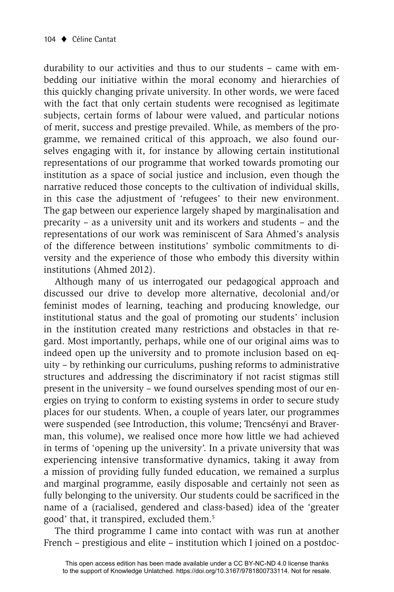durability to our activities and thus to our students – came with embedding our initiative within the moral economy and hierarchies of this quickly changing private university. In other words, we were faced with the fact that only certain students were recognised as legitimate subjects, certain forms of labour were valued, and particular notions of merit, success and prestige prevailed. While, as members of the programme, we remained critical of this approach, we also found ourselves engaging with it, for instance by allowing certain institutional representations of our programme that worked towards promoting our institution as a space of social justice and inclusion, even though the narrative reduced those concepts to the cultivation of individual skills, in this case the adjustment of 'refugees' to their new environment. The gap between our experience largely shaped by marginalisation and precarity – as a university unit and its workers and students – and the representations of our work was reminiscent of Sara Ahmed's analysis of the difference between institutions' symbolic commitments to diversity and the experience of those who embody this diversity within institutions (Ahmed 2012).

Although many of us interrogated our pedagogical approach and discussed our drive to develop more alternative, decolonial and/or feminist modes of learning, teaching and producing knowledge, our institutional status and the goal of promoting our students' inclusion in the institution created many restrictions and obstacles in that regard. Most importantly, perhaps, while one of our original aims was to indeed open up the university and to promote inclusion based on equity – by rethinking our curriculums, pushing reforms to administrative structures and addressing the discriminatory if not racist stigmas still present in the university – we found ourselves spending most of our energies on trying to conform to existing systems in order to secure study places for our students. When, a couple of years later, our programmes were suspended (see Introduction, this volume; Trencsényi and Braverman, this volume), we realised once more how little we had achieved in terms of 'opening up the university'. In a private university that was experiencing intensive transformative dynamics, taking it away from a mission of providing fully funded education, we remained a surplus and marginal programme, easily disposable and certainly not seen as fully belonging to the university. Our students could be sacrificed in the name of a (racialised, gendered and class-based) idea of the 'greater good' that, it transpired, excluded them.5

The third programme I came into contact with was run at another French – prestigious and elite – institution which I joined on a postdoc-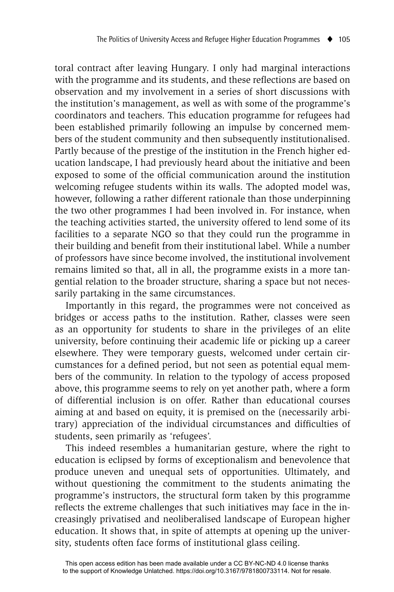toral contract after leaving Hungary. I only had marginal interactions with the programme and its students, and these reflections are based on observation and my involvement in a series of short discussions with the institution's management, as well as with some of the programme's coordinators and teachers. This education programme for refugees had been established primarily following an impulse by concerned members of the student community and then subsequently institutionalised. Partly because of the prestige of the institution in the French higher education landscape, I had previously heard about the initiative and been exposed to some of the official communication around the institution welcoming refugee students within its walls. The adopted model was, however, following a rather different rationale than those underpinning the two other programmes I had been involved in. For instance, when the teaching activities started, the university offered to lend some of its facilities to a separate NGO so that they could run the programme in their building and benefit from their institutional label. While a number of professors have since become involved, the institutional involvement remains limited so that, all in all, the programme exists in a more tangential relation to the broader structure, sharing a space but not necessarily partaking in the same circumstances.

Importantly in this regard, the programmes were not conceived as bridges or access paths to the institution. Rather, classes were seen as an opportunity for students to share in the privileges of an elite university, before continuing their academic life or picking up a career elsewhere. They were temporary guests, welcomed under certain circumstances for a defined period, but not seen as potential equal members of the community. In relation to the typology of access proposed above, this programme seems to rely on yet another path, where a form of differential inclusion is on offer. Rather than educational courses aiming at and based on equity, it is premised on the (necessarily arbitrary) appreciation of the individual circumstances and difficulties of students, seen primarily as 'refugees'.

This indeed resembles a humanitarian gesture, where the right to education is eclipsed by forms of exceptionalism and benevolence that produce uneven and unequal sets of opportunities. Ultimately, and without questioning the commitment to the students animating the programme's instructors, the structural form taken by this programme reflects the extreme challenges that such initiatives may face in the increasingly privatised and neoliberalised landscape of European higher education. It shows that, in spite of attempts at opening up the university, students often face forms of institutional glass ceiling.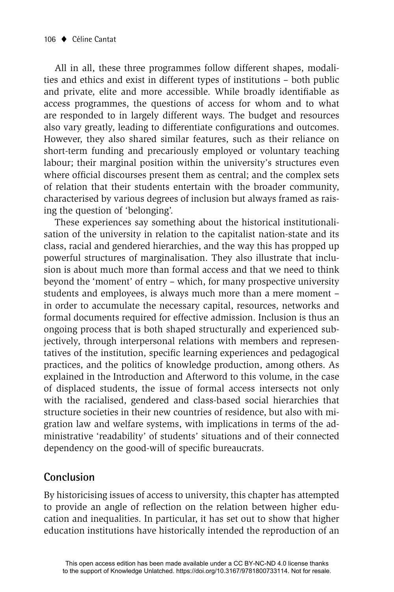All in all, these three programmes follow different shapes, modalities and ethics and exist in different types of institutions – both public and private, elite and more accessible. While broadly identifiable as access programmes, the questions of access for whom and to what are responded to in largely different ways. The budget and resources also vary greatly, leading to differentiate configurations and outcomes. However, they also shared similar features, such as their reliance on short-term funding and precariously employed or voluntary teaching labour; their marginal position within the university's structures even where official discourses present them as central; and the complex sets of relation that their students entertain with the broader community, characterised by various degrees of inclusion but always framed as raising the question of 'belonging'.

These experiences say something about the historical institutionalisation of the university in relation to the capitalist nation-state and its class, racial and gendered hierarchies, and the way this has propped up powerful structures of marginalisation. They also illustrate that inclusion is about much more than formal access and that we need to think beyond the 'moment' of entry – which, for many prospective university students and employees, is always much more than a mere moment – in order to accumulate the necessary capital, resources, networks and formal documents required for effective admission. Inclusion is thus an ongoing process that is both shaped structurally and experienced subjectively, through interpersonal relations with members and representatives of the institution, specific learning experiences and pedagogical practices, and the politics of knowledge production, among others. As explained in the Introduction and Afterword to this volume, in the case of displaced students, the issue of formal access intersects not only with the racialised, gendered and class-based social hierarchies that structure societies in their new countries of residence, but also with migration law and welfare systems, with implications in terms of the administrative 'readability' of students' situations and of their connected dependency on the good-will of specific bureaucrats.

#### **Conclusion**

By historicising issues of access to university, this chapter has attempted to provide an angle of reflection on the relation between higher education and inequalities. In particular, it has set out to show that higher education institutions have historically intended the reproduction of an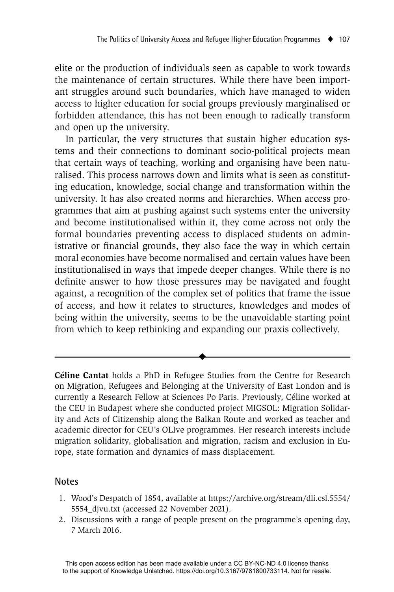elite or the production of individuals seen as capable to work towards the maintenance of certain structures. While there have been important struggles around such boundaries, which have managed to widen access to higher education for social groups previously marginalised or forbidden attendance, this has not been enough to radically transform and open up the university.

In particular, the very structures that sustain higher education systems and their connections to dominant socio-political projects mean that certain ways of teaching, working and organising have been naturalised. This process narrows down and limits what is seen as constituting education, knowledge, social change and transformation within the university. It has also created norms and hierarchies. When access programmes that aim at pushing against such systems enter the university and become institutionalised within it, they come across not only the formal boundaries preventing access to displaced students on administrative or financial grounds, they also face the way in which certain moral economies have become normalised and certain values have been institutionalised in ways that impede deeper changes. While there is no definite answer to how those pressures may be navigated and fought against, a recognition of the complex set of politics that frame the issue of access, and how it relates to structures, knowledges and modes of being within the university, seems to be the unavoidable starting point from which to keep rethinking and expanding our praxis collectively.

**Céline Cantat** holds a PhD in Refugee Studies from the Centre for Research on Migration, Refugees and Belonging at the University of East London and is currently a Research Fellow at Sciences Po Paris. Previously, Céline worked at the CEU in Budapest where she conducted project MIGSOL: Migration Solidarity and Acts of Citizenship along the Balkan Route and worked as teacher and academic director for CEU's OLIve programmes. Her research interests include migration solidarity, globalisation and migration, racism and exclusion in Europe, state formation and dynamics of mass displacement.

 $\blacklozenge$ 

#### **Notes**

- 1. Wood's Despatch of 1854, available at https://archive.org/stream/dli.csl.5554/ 5554\_djvu.txt (accessed 22 November 2021).
- 2. Discussions with a range of people present on the programme's opening day, 7 March 2016.